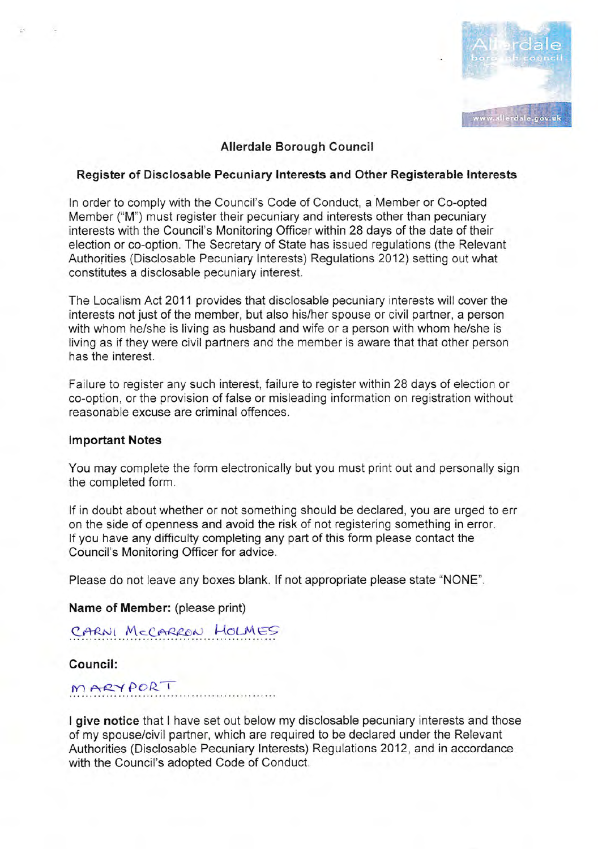

## Allerdale Borough Council

#### Register of Disclosable Pecuniary lnterests and Other Registerable lnterests

ln order to comply with the Council's Code of Conduct, a Mennber or Co-opted Member ("M") must register their pecuniary and interests other than pecuniary interests with the Council's Monitoring Officer within 28 days of the date of their election or co-option. The Secretary of State has issued regulations (the Relevant Authorities (Disclosable Pecuniary lnterests) Regulations 2012) setting out what constitutes a disciosable pecuniary interest,

The Localism Act 2011 provides that disclosable pecuniary interests will cover the interests not just of the member, but also hislher spouse or civil partner, a person with whom he/she is living as husband and wife or a person with whom he/she is living as if they were civil partners and the member is aware that that other person has the interest.

Failure to register any such interest, failure to register within 28 days of election or co-option, or the provision of false or misleading information on registration without reasonable excuse are criminal offences.

#### lmportant Notes

You may complete the form electronically but you must print out and personally sign the completed form.

If in doubt about whether or not something should be declared, you are urged to err on the side of openness and avoid the risk of not registering something in error. lf you have any difficulty completing any part of this form please contact the Council's Monitoring Officer for advice.

Please do not leave any boxes blank. lf not appropriate please state "NONE".

Name of Member: (please print)

# CARNI MCCARRON HOLMES

Council:

MARYPORT

I give notice that I have set out below my disclosable pecuniary interests and those of my spouse/civil partner, which are required to be declared under the Relevant Authorities (Disclosable Pecuniary Interests) Regulations 2012, and in accordance with the Council's adopied Code of Conduct.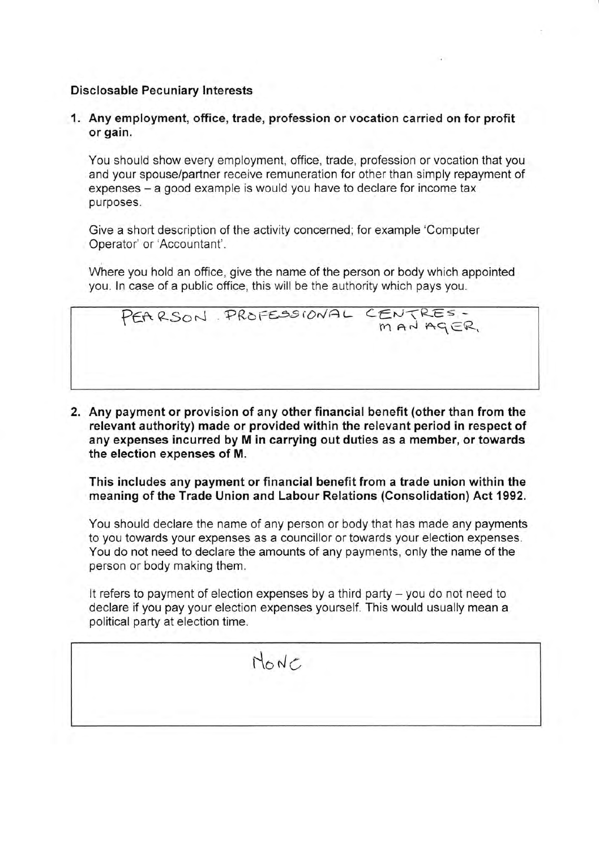# **Disclosable Pecuniary Interests**

1. Any employment, office, trade, profession or vocation carried on for profit or gain.

You should show every employment, office, trade, profession or vocation that you and your spouse/partner receive remuneration for other than simply repayment of expenses – a good example is would you have to declare for income tax purposes.

Give a short description of the activity concerned; for example 'Computer Operator' or 'Accountant'.

Where you hold an office, give the name of the person or body which appointed you. In case of a public office, this will be the authority which pays you.

PEARSON PROFESSIONAL CENTRES-

2. Any payment or provision of any other financial benefit (other than from the relevant authority) made or provided within the relevant period in respect of any expenses incurred by M in carrying out duties as a member, or towards the election expenses of M.

This includes any payment or financial benefit from a trade union within the meaning of the Trade Union and Labour Relations (Consolidation) Act 1992.

You should declare the name of any person or body that has made any payments to you towards your expenses as a councillor or towards your election expenses. You do not need to declare the amounts of any payments, only the name of the person or body making them.

It refers to payment of election expenses by a third party  $-$  you do not need to declare if you pay your election expenses yourself. This would usually mean a political party at election time.

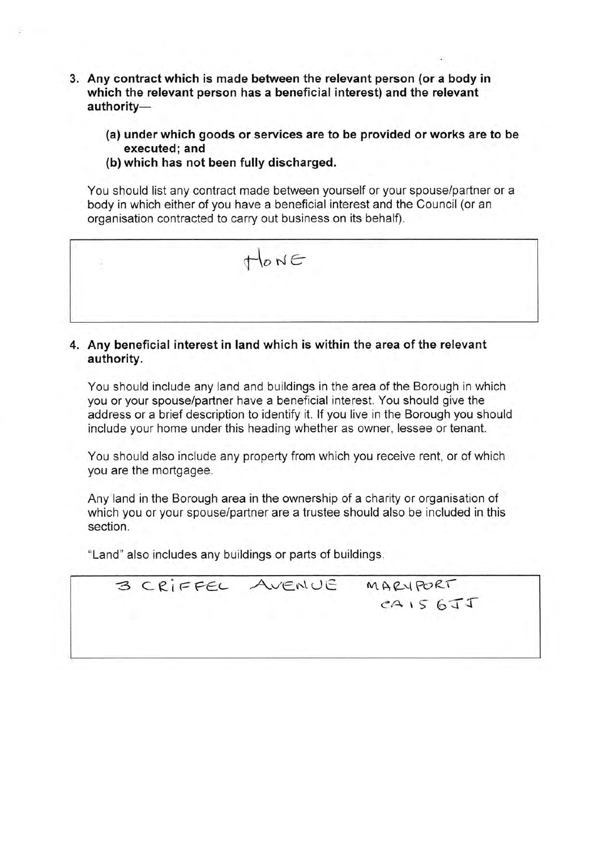- 3. Any contract which is made between the relevant person (or a body in which the relevant person has a beneficial interest) and the relevant authority-
	- (a) under which goods or services are to be provided or works are to be executed; and
	- (b) which has not been fully discharged.

You should list any contract made between yourself or your spouse/partner or a body in which either of you have a beneficial interest and the Council (or an organisation contracted to carry out business on its behalf).



## 4. Any beneficial interest in land which is within the area of the relevant authority.

You should include any land and buildings in the area of the Borough in which you or your spouse/partner have a beneficial interest. You should give the address or a brief description to identify it. If you live in the Borough you should include your home under this heading whether as owner, lessee or tenant.

You should also include any property from which you receive rent, or of which you are the mortgagee.

Any land in the Borough area in the ownership of a charity or organisation of which you or your spouse/partner are a trustee should also be included in this section.

"Land" also includes any buildings or parts of buildings.

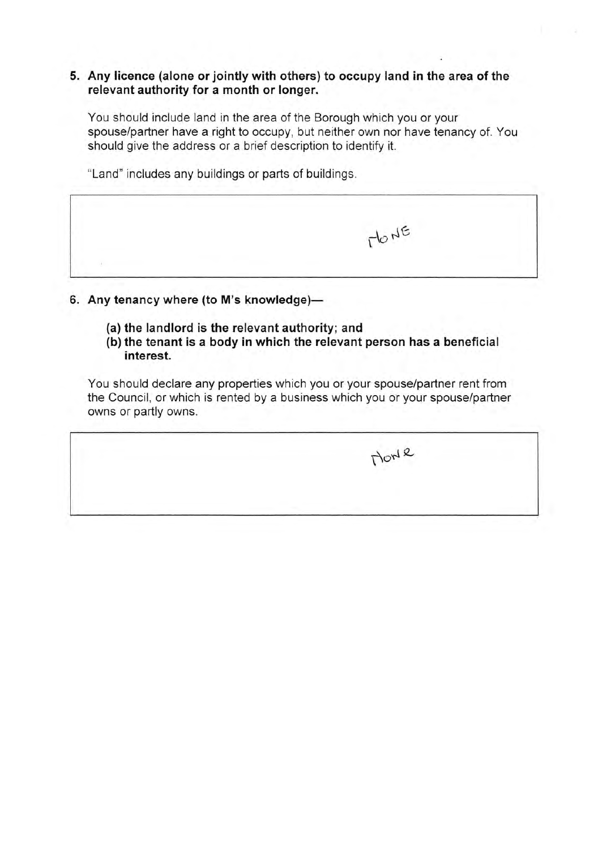#### 5. Any licence (alone or jointly with others) to occupy land in the area of the relevant authority for a month or longer.

You should include land in the area of the Borough which you or your spouse/partner have a right to occupy, but neither own nor have tenancy of. You should give the address or a brief description to identify it.

"Land" includes any buildings or parts of buildings.

6. Any tenancy where (to M's knowledge)-

- (a) the landlord is the relevant authority; and
- (b) the tenant is a body in which the relevant person has a beneficial interest.

You should declare any properties which you or your spouse/partner rent from the Council, or which is rented by a business which you or your spouse/partner owns or partly owns.

flod <sup>o</sup>

 $T^{\text{lo}}N^{\text{E}}$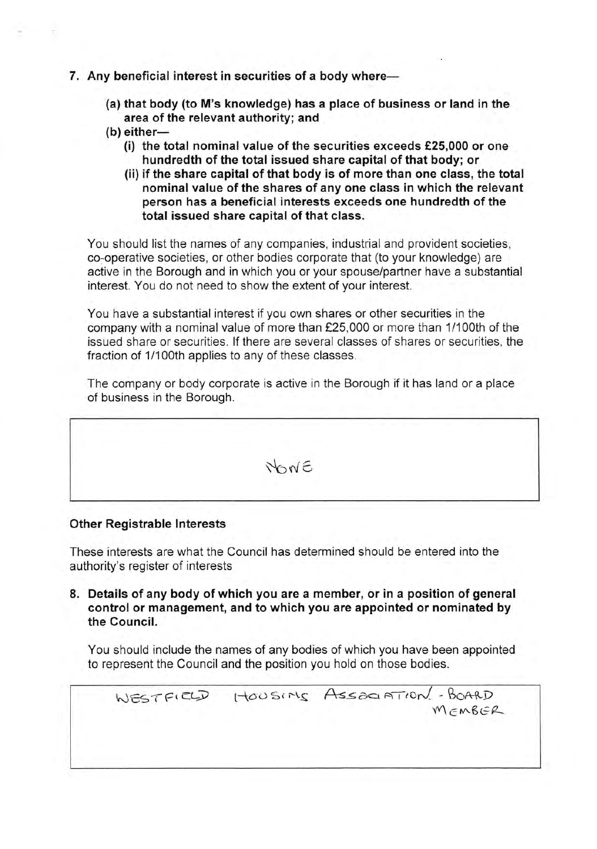- 7. Any beneficial interest in securities of a body where-
	- (a) that body (to M's knowledge) has a place of business or land in the area of the relevant authority; and
	- $(b)$  either-
		- (i) the total nominal value of the securities exceeds  $£25,000$  or one hundredth of the total issued share capital of that body; or
		- (ii) if the share capital of that body is of more than one class, the total nominal value of the shares of any one class in which the relevant person has a beneficial interests'exceeds one hundredth of the total issued share capital of that class.

You should list the names of any companies, industrial and provident societies, co-operative societies, or other bodies corporate that (to your knowledge) are active in the Borough and in which you or your spouse/partner have a substantial interest. You do not need to show the extent of your interest.

You have a substantial interest if you own shares or other securities in the company with a nominal value of more than £25,000 or more than 1/100th of the issued share or securities. lf there are several classes of shares or securities, the fraction of 1/100th applies to any of these classes.

The company or body corporate is active in the Borough if it has land or a place of business in the Borough.

NONE

#### Other Registrable Interests

These interests are what the Council has determined should be entered into the authority's register of interests

8. Details of any body of which you are a member, or in a position of general control or management, and to which you are appointed or nominated by the Council.

You should include the names of any bodies of which you have been appointed to represent the Council and the position you hold on those bodies.

 $WESTFICLD$   $HOOSIRS$   $Assonation/$ -BOARD  $W$  $FMSER$